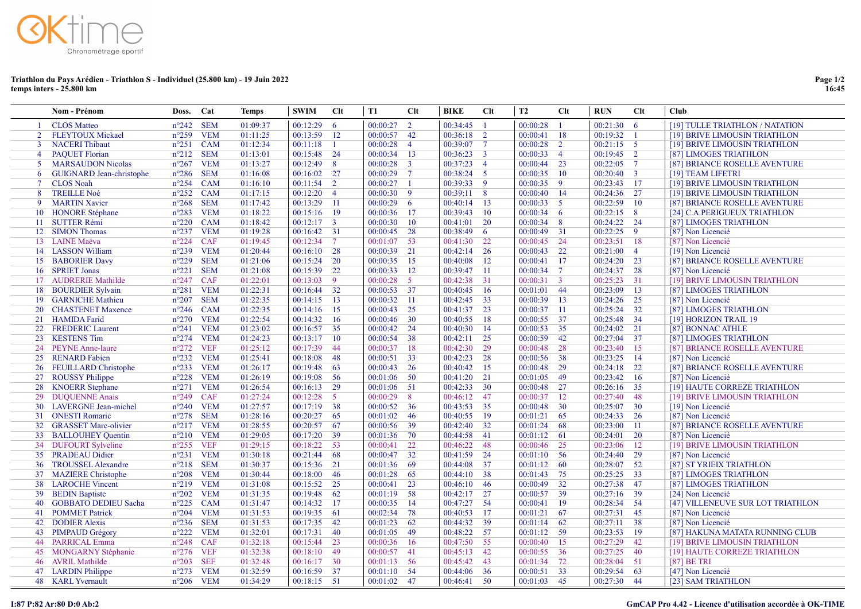

## Triathlon du Pays Arédien - Triathlon S - Individuel (25.800 km) - 19 Juin 2022 temps inters - 25.800 km

|                | Nom - Prénom                    | Doss.              | Cat        | <b>Temps</b> | <b>SWIM</b> | $Cl$ t         | T1            | $Cl$           | <b>BIKE</b>   | $Cl$ t                  | T2       | Clt            | <b>RUN</b>   | Clt             | <b>Club</b>                       |
|----------------|---------------------------------|--------------------|------------|--------------|-------------|----------------|---------------|----------------|---------------|-------------------------|----------|----------------|--------------|-----------------|-----------------------------------|
|                | <b>CLOS</b> Matteo              | $n^{\circ}242$     | <b>SEM</b> | 01:09:37     | 00:12:29    | -6             | 00:00:27      | $\overline{2}$ | 00:34:45      |                         | 00:00:28 | $\overline{1}$ | 00:21:30     | - 6             | [19] TULLE TRIATHLON / NATATION   |
| 2              | <b>FLEYTOUX Mickael</b>         | $n^{\circ}259$     | <b>VEM</b> | 01:11:25     | 00:13:59    | 12             | 00:00:57 42   |                | 00:36:18      | $\overline{2}$          | 00:00:41 | <sup>18</sup>  | 00:19:32     | $\overline{1}$  | [19] BRIVE LIMOUSIN TRIATHLON     |
| 3              | <b>NACERI</b> Thibaut           | $n^{\circ}251$     | <b>CAM</b> | 01:12:34     | 00:11:18    |                | 00:00:28      | $\overline{4}$ | 00:39:07      | $\overline{7}$          | 00:00:28 | 2              | $00:21:15$ 5 |                 | [19] BRIVE LIMOUSIN TRIATHLON     |
| $\overline{4}$ | <b>PAQUET Florian</b>           | $n^{\circ}212$     | <b>SEM</b> | 01:13:01     | 00:15:48    | 24             | 00:00:34 13   |                | 00:36:23      | $\overline{\mathbf{3}}$ | 00:00:33 | $\overline{4}$ | $00:19:45$ 2 |                 | [87] LIMOGES TRIATHLON            |
| 5              | <b>MARSAUDON Nicolas</b>        | $n^{\circ}267$ VEM |            | 01:13:27     | 00:12:49    | 8              | $00:00:28$ 3  |                | 00:37:23      | $\overline{4}$          | 00:00:44 | 23             | 00:22:05     | $7\phantom{.0}$ | [87] BRIANCE ROSELLE AVENTURE     |
| 6              | <b>GUIGNARD</b> Jean-christophe | $n^{\circ}286$     | <b>SEM</b> | 01:16:08     | 00:16:02    | 27             | $00:00:29$ 7  |                | 00:38:24      | $5^{\circ}$             | 00:00:35 | <sup>10</sup>  | 00:20:40     | $\overline{3}$  | [19] TEAM LIFETRI                 |
| $\tau$         | <b>CLOS</b> Noah                | $n^{\circ}254$ CAM |            | 01:16:10     | 00:11:54    | $\overline{2}$ | $00:00:27$ 1  |                | 00:39:33      | $\overline{9}$          | 00:00:35 | -9             | 00:23:43     | -17             | [19] BRIVE LIMOUSIN TRIATHLON     |
| 8              | <b>TREILLE Noé</b>              | $n^{\circ}252$     | <b>CAM</b> | 01:17:15     | 00:12:20    | $\overline{4}$ | $00:00:30$ 9  |                | 00:39:11      | 8 <sup>8</sup>          | 00:00:40 | -14            | 00:24:36     | 27              | [19] BRIVE LIMOUSIN TRIATHLON     |
| 9              | <b>MARTIN Xavier</b>            | $n^{\circ}268$     | <b>SEM</b> | 01:17:42     | 00:13:29    | -11            | $00:00:29$ 6  |                | $00:40:14$ 13 |                         | 00:00:33 | $5^{\circ}$    | 00:22:59     | 10              | [87] BRIANCE ROSELLE AVENTURE     |
|                | 10 HONORE Stéphane              | $n^{\circ}283$     | <b>VEM</b> | 01:18:22     | 00:15:16    | -19            | 00:00:36 17   |                | 00:39:43      | 10                      | 00:00:34 | -6             | 00:22:15     | 8               | [24] C.A.PERIGUEUX TRIATHLON      |
|                | 11 SUTTER Rémi                  | $n^{\circ}220$ CAM |            | 01:18:42     | 00:12:17    | $\overline{3}$ | 00:00:30      | 10             | 00:41:01      | <sup>20</sup>           | 00:00:34 | 8              | 00:24:22     | 24              | [87] LIMOGES TRIATHLON            |
| 12             | <b>SIMON Thomas</b>             | $n^{\circ}237$     | <b>VEM</b> | 01:19:28     | 00:16:42    | 31             | 00:00:45 28   |                | 00:38:49      | - 6                     | 00:00:49 | 31             | 00:22:25     | -9              | [87] Non Licencié                 |
|                | 13 LAINE Maëva                  | $n^{\circ}224$ CAF |            | 01:19:45     | 00:12:34    | $\tau$         | $00:01:07$ 53 |                | 00:41:30      | 22                      | 00:00:45 | 24             | 00:23:51     | 18              | [87] Non Licencié                 |
|                | 14 LASSON William               | $n^{\circ}239$     | <b>VEM</b> | 01:20:44     | 00:16:10    | 28             | $00:00:39$ 21 |                | 00:42:14      | -26                     | 00:00:43 | 22             | 00:21:00     | $\overline{4}$  | [19] Non Licencié                 |
|                | 15 BABORIER Davy                | $n^{\circ}229$ SEM |            | 01:21:06     | 00:15:24    | <b>20</b>      | $00:00:35$ 15 |                | 00:40:08      | - 12                    | 00:00:41 | 17             | 00:24:20     | 23              | [87] BRIANCE ROSELLE AVENTURE     |
|                | 16 SPRIET Jonas                 | $n^{\circ}221$     | <b>SEM</b> | 01:21:08     | 00:15:39    | 22             | 00:00:33      | 12             | 00:39:47      | - 11                    | 00:00:34 | $\overline{7}$ | 00:24:37     | 28              | [87] Non Licencié                 |
|                | 17 AUDRERIE Mathilde            | $n^{\circ}247$ CAF |            | 01:22:01     | 00:13:03    | -9             | $00:00:28$ 5  |                | 00:42:38      | $\overline{31}$         | 00:00:31 | $\overline{3}$ | 00:25:23     | 31              | [19] BRIVE LIMOUSIN TRIATHLON     |
| 18             | <b>BOURDIER Sylvain</b>         | $n^{\circ}281$     | <b>VEM</b> | 01:22:31     | 00:16:44    | 32             | 00:00:53 37   |                | 00:40:45      | 16                      | 00:01:01 | 44             | 00:23:09     | 13              | [87] LIMOGES TRIATHLON            |
|                | 19 GARNICHE Mathieu             | $n^{\circ}207$ SEM |            | 01:22:35     | 00:14:15    | 13             | $00:00:32$ 11 |                | 00:42:45      | 33                      | 00:00:39 | <sup>13</sup>  | 00:24:26     | 25              | [87] Non Licencié                 |
|                | 20 CHASTENET Maxence            | $n^{\circ}246$ CAM |            | 01:22:35     | 00:14:16    | 15             | 00:00:43      | 25             | 00:41:37      | 23                      | 00:00:37 | -11            | 00:25:24     | 32              | [87] LIMOGES TRIATHLON            |
|                | 21 HAMIDA Farid                 | $n^{\circ}270$ VEM |            | 01:22:54     | 00:14:32    | 16             | 00:00:46 30   |                | 00:40:55      | -18                     | 00:00:55 | 37             | 00:25:48     | 34              | [19] HORIZON TRAIL 19             |
|                | 22 FREDERIC Laurent             | $n^{\circ}241$ VEM |            | 01:23:02     | 00:16:57    | 35             | 00:00:42 24   |                | $00:40:30$ 14 |                         | 00:00:53 | 35             | 00:24:02     | 21              | [87] BONNAC ATHLE                 |
|                | 23 KESTENS Tim                  | $n^{\circ}274$ VEM |            | 01:24:23     | 00:13:17    | 10             | 00:00:54 38   |                | 00:42:11      | 25                      | 00:00:59 | 42             | 00:27:04     | 37              | [87] LIMOGES TRIATHLON            |
| 24             | <b>PEYNE Anne-laure</b>         | $n^{\circ}272$     | <b>VEF</b> | 01:25:12     | 00:17:39    | -44            | 00:00:37      | -18            | 00:42:30      | 29                      | 00:00:48 | 28             | 00:23:40     | 15              | [87] BRIANCE ROSELLE AVENTURE     |
|                | 25 RENARD Fabien                | $n^{\circ}232$ VEM |            | 01:25:41     | 00:18:08    | -48            | $00:00:51$ 33 |                | 00:42:23      | 28                      | 00:00:56 | 38             | 00:23:25     | 14              | [87] Non Licencié                 |
|                | 26 FEUILLARD Christophe         | $n^{\circ}233$ VEM |            | 01:26:17     | 00:19:48    | 63             | $00:00:43$ 26 |                | 00:40:42      | 15                      | 00:00:48 | 29             | 00:24:18     | 22              | [87] BRIANCE ROSELLE AVENTURE     |
|                | 27 ROUSSY Philippe              | $n^{\circ}228$ VEM |            | 01:26:19     | 00:19:08    | -56            | $00:01:06$ 50 |                | 00:41:20 21   |                         | 00:01:05 | 49             | 00:23:42     | 16              | [87] Non Licencié                 |
| 28             | <b>KNOERR</b> Stephane          | $n^{\circ}271$     | <b>VEM</b> | 01:26:54     | 00:16:13    | 29             | $00:01:06$ 51 |                | 00:42:33      | <b>30</b>               | 00:00:48 | 27             | 00:26:16     | 35              | [19] HAUTE CORREZE TRIATHLON      |
|                | 29 DUQUENNE Anais               | $n^{\circ}249$ CAF |            | 01:27:24     | 00:12:28    | $5^{\circ}$    | $00:00:29$ 8  |                | 00:46:12 47   |                         | 00:00:37 | <sup>12</sup>  | 00:27:40     | 48              | [19] BRIVE LIMOUSIN TRIATHLON     |
| 30             | <b>LAVERGNE</b> Jean-michel     | $n^{\circ}240$ VEM |            | 01:27:57     | 00:17:19    | 38             | $00:00:52$ 36 |                | 00:43:53      | 35                      | 00:00:48 | <sup>30</sup>  | 00:25:07     | <b>30</b>       | [19] Non Licencié                 |
|                | 31 ONESTI Romaric               | $n^{\circ}278$ SEM |            | 01:28:16     | 00:20:27    | -65            | 00:01:02      | - 46           | 00:40:55      | -19                     | 00:01:21 | -65            | 00:24:33     | 26              | [87] Non Licencié                 |
| 32             | <b>GRASSET Marc-olivier</b>     | $n^{\circ}217$ VEM |            | 01:28:55     | 00:20:57    | -67            | 00:00:56 39   |                | 00:42:40      | 32                      | 00:01:24 | -68            | 00:23:00     | 11              | [87] BRIANCE ROSELLE AVENTURE     |
| 33             | <b>BALLOUHEY Quentin</b>        | $n^{\circ}210$ VEM |            | 01:29:05     | 00:17:20    | -39            | 00:01:36 70   |                | 00:44:58      | - 41                    | 00:01:12 | -61            | 00:24:01     | 20              | [87] Non Licencié                 |
| 34             | <b>DUFOURT Sylveline</b>        | $n^{\circ}255$ VEF |            | 01:29:15     | 00:18:22    | 53             | 00:00:41      | 22             | 00:46:22      | 48                      | 00:00:46 | 25             | 00:23:06     | 12              | [19] BRIVE LIMOUSIN TRIATHLON     |
|                | 35 PRADEAU Didier               | $n^{\circ}231$     | <b>VEM</b> | 01:30:18     | 00:21:44    | 68             | 00:00:47 32   |                | 00:41:59      | 24                      | 00:01:10 | - 56           | 00:24:40     | 29              | [87] Non Licencié                 |
| 36             | <b>TROUSSEL Alexandre</b>       | $n^{\circ}218$ SEM |            | 01:30:37     | 00:15:36    | 21             | 00:01:36 69   |                | 00:44:08      | 37                      | 00:01:12 | - 60           | 00:28:07     | 52              | [87] ST YRIEIX TRIATHLON          |
|                | 37 MAZIERE Christophe           | $n^{\circ}208$     | <b>VEM</b> | 01:30:44     | 00:18:00    | 46             | $00:01:28$ 65 |                | $00:44:10$ 38 |                         | 00:01:43 | 75             | 00:25:25     | 33              | [87] LIMOGES TRIATHLON            |
| 38             | <b>LAROCHE Vincent</b>          | $n^{\circ}219$ VEM |            | 01:31:08     | 00:15:52    | 25             | $00:00:41$ 23 |                | 00:46:10      | -46                     | 00:00:49 | 32             | 00:27:38     | 47              | [87] LIMOGES TRIATHLON            |
| 39             | <b>BEDIN</b> Baptiste           | $n^{\circ}202$ VEM |            | 01:31:35     | 00:19:48    | -62            | $00:01:19$ 58 |                | $00:42:17$ 27 |                         | 00:00:57 | 39             | 00:27:16     | 39              | [24] Non Licencié                 |
| 40             | <b>GOBBATO DEDIEU Sacha</b>     | $n^{\circ}225$     | <b>CAM</b> | 01:31:47     | 00:14:32    | 17             | 00:00:35      | -14            | 00:47:27      | - 54                    | 00:00:41 | -19            | 00:28:34     | 54              | [47] VILLENEUVE SUR LOT TRIATHLON |
| 41             | <b>POMMET Patrick</b>           | $n^{\circ}204$     | <b>VEM</b> | 01:31:53     | 00:19:35    | 61             | 00:02:34      | 78             | 00:40:53      | -17                     | 00:01:21 | 67             | 00:27:31     | 45              | [87] Non Licencié                 |
| 42             | <b>DODIER Alexis</b>            | $n^{\circ}236$     | <b>SEM</b> | 01:31:53     | 00:17:35    | 42             | 00:01:23      | 62             | 00:44:32      | 39                      | 00:01:14 | -62            | 00:27:11     | 38              | [87] Non Licencié                 |
| 43             | <b>PIMPAUD Grégory</b>          | $n^{\circ}222$ VEM |            | 01:32:01     | 00:17:31    | 40             | 00:01:05      | - 49           | $00:48:22$ 57 |                         | 00:01:12 | - 59           | 00:23:53     | 19              | [87] HAKUNA MATATA RUNNING CLUB   |
| 44             | <b>PARRICAL Emma</b>            | $n^{\circ}248$     | <b>CAF</b> | 01:32:18     | 00:15:44    | 23             | 00:00:36      | -16            | 00:47:50      | 55                      | 00:00:40 | 15             | 00:27:29     | 42              | [19] BRIVE LIMOUSIN TRIATHLON     |
| 45             | <b>MONGARNY Stéphanie</b>       | $n^{\circ}276$     | <b>VEF</b> | 01:32:38     | 00:18:10    | 49             | 00:00:57      | 41             | 00:45:13      | 42                      | 00:00:55 | 36             | 00:27:25     | 40              | [19] HAUTE CORREZE TRIATHLON      |
| 46             | <b>AVRIL Mathilde</b>           | $n^{\circ}203$     | <b>SEF</b> | 01:32:48     | 00:16:17    | 30             | $00:01:13$ 56 |                | 00:45:42      | 43                      | 00:01:34 | 72             | 00:28:04     | 51              | [87] BE TRI                       |
| 47             | <b>LARDIN</b> Philippe          | $n^{\circ}273$     | <b>VEM</b> | 01:32:59     | 00:16:59    | 37             | $00:01:10$ 54 |                | 00:44:06      | 36                      | 00:00:51 | 33             | 00:29:54     | 63              | [47] Non Licencié                 |
|                | 48 KARL Yvernault               | $n^{\circ}206$ VEM |            | 01:34:29     | 00:18:15    | -51            | 00:01:02      | 47             | 00:46:41      | -50                     | 00:01:03 | 45             | 00:27:30     | 44              | [23] SAM TRIATHLON                |

## I:87 P:82 Ar:80 D:0 Ab:2 GmCAP Pro 4.42 - Licence d'utilisation accordée à OK-TIME